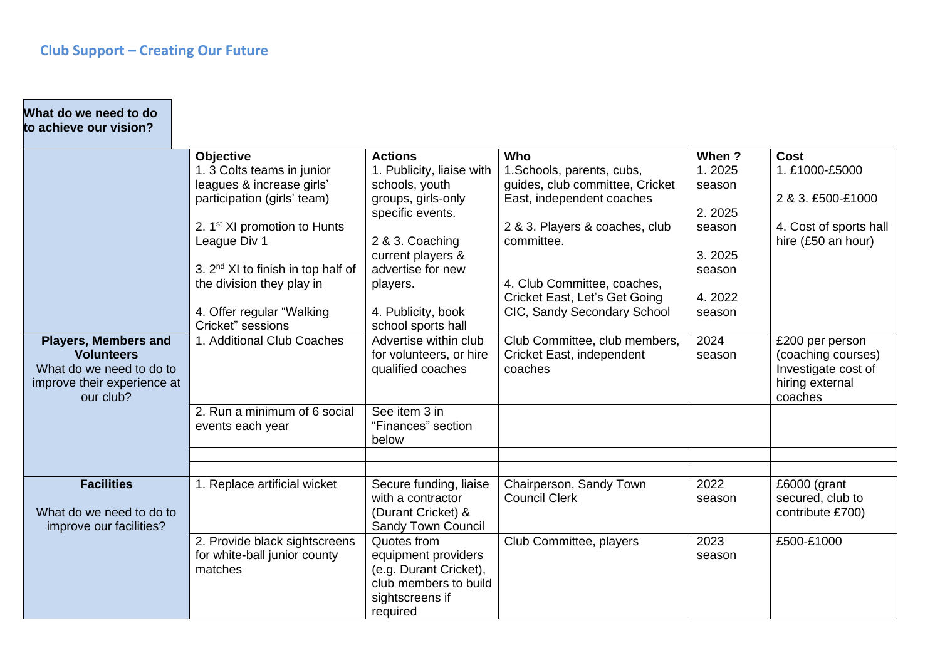$\mathcal{L}(\mathcal{A})$ 

| <b>Cost</b>                            |
|----------------------------------------|
| 1. £1000-£5000                         |
|                                        |
| 2 & 3. £500-£1000                      |
|                                        |
| 4. Cost of sports hall                 |
| hire (£50 an hour)                     |
|                                        |
|                                        |
|                                        |
|                                        |
|                                        |
|                                        |
| £200 per person                        |
| (coaching courses)                     |
| Investigate cost of<br>hiring external |
| coaches                                |
|                                        |
|                                        |
|                                        |
|                                        |
|                                        |
| £6000 (grant                           |
| secured, club to                       |
| contribute £700)                       |
|                                        |
| £500-£1000                             |
|                                        |
|                                        |
|                                        |
|                                        |
|                                        |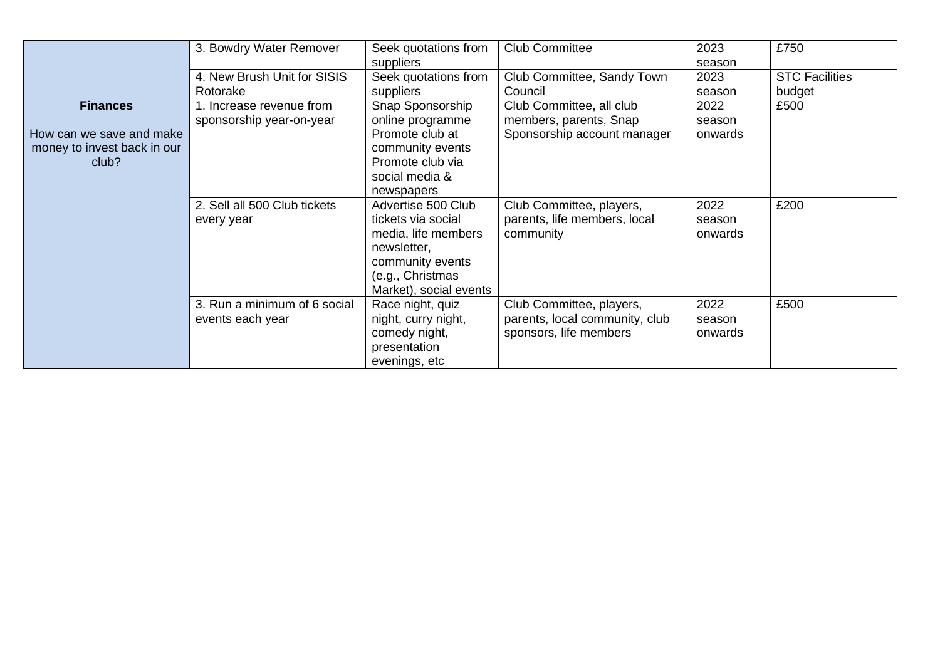|                                                                                     | 3. Bowdry Water Remover                              |                                                                                                                                                                | <b>Club Committee</b>                                                                | 2023<br>season            | £750                            |
|-------------------------------------------------------------------------------------|------------------------------------------------------|----------------------------------------------------------------------------------------------------------------------------------------------------------------|--------------------------------------------------------------------------------------|---------------------------|---------------------------------|
| 4. New Brush Unit for SISIS<br>Rotorake                                             |                                                      | suppliers<br>Seek quotations from<br>suppliers                                                                                                                 | Club Committee, Sandy Town<br>Council                                                | 2023<br>season            | <b>STC Facilities</b><br>budget |
| <b>Finances</b><br>How can we save and make<br>money to invest back in our<br>club? | 1. Increase revenue from<br>sponsorship year-on-year | Snap Sponsorship<br>online programme<br>Promote club at<br>community events<br>Promote club via<br>social media &                                              | Club Committee, all club<br>members, parents, Snap<br>Sponsorship account manager    | 2022<br>season<br>onwards | £500                            |
|                                                                                     | 2. Sell all 500 Club tickets<br>every year           | newspapers<br>Advertise 500 Club<br>tickets via social<br>media, life members<br>newsletter,<br>community events<br>(e.g., Christmas<br>Market), social events | Club Committee, players,<br>parents, life members, local<br>community                | 2022<br>season<br>onwards | £200                            |
|                                                                                     | 3. Run a minimum of 6 social<br>events each year     | Race night, quiz<br>night, curry night,<br>comedy night,<br>presentation<br>evenings, etc                                                                      | Club Committee, players,<br>parents, local community, club<br>sponsors, life members | 2022<br>season<br>onwards | £500                            |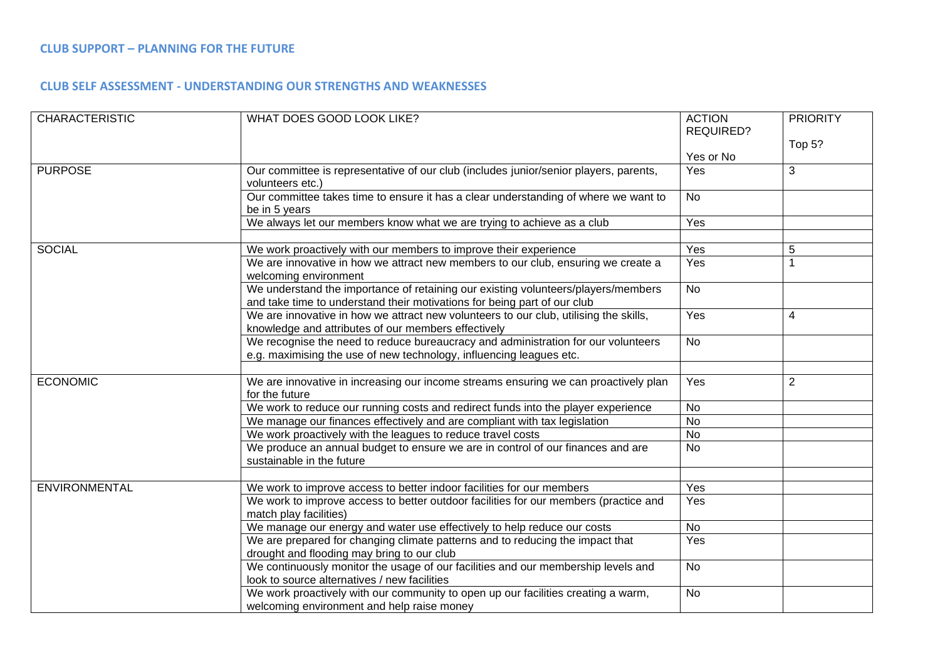## **CLUB SUPPORT – PLANNING FOR THE FUTURE**

## **CLUB SELF ASSESSMENT - UNDERSTANDING OUR STRENGTHS AND WEAKNESSES**

| <b>CHARACTERISTIC</b> | WHAT DOES GOOD LOOK LIKE?                                                                                                                                     | <b>ACTION</b><br><b>REQUIRED?</b> | <b>PRIORITY</b> |
|-----------------------|---------------------------------------------------------------------------------------------------------------------------------------------------------------|-----------------------------------|-----------------|
|                       |                                                                                                                                                               | Yes or No                         | Top 5?          |
| <b>PURPOSE</b>        | Our committee is representative of our club (includes junior/senior players, parents,<br>volunteers etc.)                                                     | Yes                               | 3               |
|                       | Our committee takes time to ensure it has a clear understanding of where we want to<br>be in 5 years                                                          | <b>No</b>                         |                 |
|                       | We always let our members know what we are trying to achieve as a club                                                                                        | Yes                               |                 |
| <b>SOCIAL</b>         | We work proactively with our members to improve their experience                                                                                              | Yes                               | 5               |
|                       | We are innovative in how we attract new members to our club, ensuring we create a<br>welcoming environment                                                    | Yes                               |                 |
|                       | We understand the importance of retaining our existing volunteers/players/members<br>and take time to understand their motivations for being part of our club | <b>No</b>                         |                 |
|                       | We are innovative in how we attract new volunteers to our club, utilising the skills,<br>knowledge and attributes of our members effectively                  | Yes                               | 4               |
|                       | We recognise the need to reduce bureaucracy and administration for our volunteers<br>e.g. maximising the use of new technology, influencing leagues etc.      | <b>No</b>                         |                 |
|                       |                                                                                                                                                               |                                   |                 |
| <b>ECONOMIC</b>       | We are innovative in increasing our income streams ensuring we can proactively plan<br>for the future                                                         | Yes                               | $\overline{2}$  |
|                       | We work to reduce our running costs and redirect funds into the player experience                                                                             | No                                |                 |
|                       | We manage our finances effectively and are compliant with tax legislation                                                                                     | No                                |                 |
|                       | We work proactively with the leagues to reduce travel costs                                                                                                   | No                                |                 |
|                       | We produce an annual budget to ensure we are in control of our finances and are<br>sustainable in the future                                                  | <b>No</b>                         |                 |
|                       |                                                                                                                                                               |                                   |                 |
| ENVIRONMENTAL         | We work to improve access to better indoor facilities for our members                                                                                         | Yes                               |                 |
|                       | We work to improve access to better outdoor facilities for our members (practice and<br>match play facilities)                                                | Yes                               |                 |
|                       | We manage our energy and water use effectively to help reduce our costs                                                                                       | <b>No</b>                         |                 |
|                       | We are prepared for changing climate patterns and to reducing the impact that<br>drought and flooding may bring to our club                                   | Yes                               |                 |
|                       | We continuously monitor the usage of our facilities and our membership levels and<br>look to source alternatives / new facilities                             | <b>No</b>                         |                 |
|                       | We work proactively with our community to open up our facilities creating a warm,<br>welcoming environment and help raise money                               | <b>No</b>                         |                 |